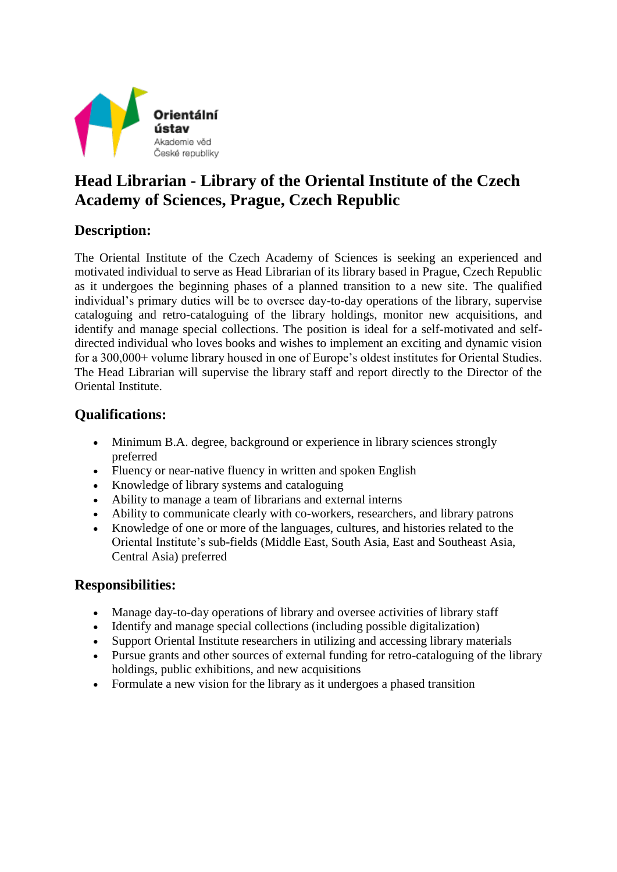

# **Head Librarian - Library of the Oriental Institute of the Czech Academy of Sciences, Prague, Czech Republic**

#### **Description:**

The Oriental Institute of the Czech Academy of Sciences is seeking an experienced and motivated individual to serve as Head Librarian of its library based in Prague, Czech Republic as it undergoes the beginning phases of a planned transition to a new site. The qualified individual's primary duties will be to oversee day-to-day operations of the library, supervise cataloguing and retro-cataloguing of the library holdings, monitor new acquisitions, and identify and manage special collections. The position is ideal for a self-motivated and selfdirected individual who loves books and wishes to implement an exciting and dynamic vision for a 300,000+ volume library housed in one of Europe's oldest institutes for Oriental Studies. The Head Librarian will supervise the library staff and report directly to the Director of the Oriental Institute.

#### **Qualifications:**

- Minimum B.A. degree, background or experience in library sciences strongly preferred
- Fluency or near-native fluency in written and spoken English
- Knowledge of library systems and cataloguing
- Ability to manage a team of librarians and external interns
- Ability to communicate clearly with co-workers, researchers, and library patrons
- Knowledge of one or more of the languages, cultures, and histories related to the Oriental Institute's sub-fields (Middle East, South Asia, East and Southeast Asia, Central Asia) preferred

#### **Responsibilities:**

- Manage day-to-day operations of library and oversee activities of library staff
- Identify and manage special collections (including possible digitalization)
- Support Oriental Institute researchers in utilizing and accessing library materials
- Pursue grants and other sources of external funding for retro-cataloguing of the library holdings, public exhibitions, and new acquisitions
- Formulate a new vision for the library as it undergoes a phased transition